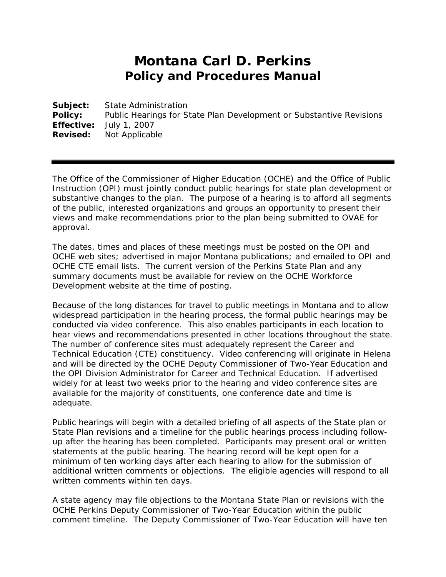## **Montana Carl D. Perkins Policy and Procedures Manual**

**Subject:** State Administration **Policy:** Public Hearings for State Plan Development or Substantive Revisions **Effective:** July 1, 2007 **Revised:** Not Applicable

The Office of the Commissioner of Higher Education (OCHE) and the Office of Public Instruction (OPI) must jointly conduct public hearings for state plan development or substantive changes to the plan. The purpose of a hearing is to afford all segments of the public, interested organizations and groups an opportunity to present their views and make recommendations prior to the plan being submitted to OVAE for approval.

The dates, times and places of these meetings must be posted on the OPI and OCHE web sites; advertised in major Montana publications; and emailed to OPI and OCHE CTE email lists. The current version of the Perkins State Plan and any summary documents must be available for review on the OCHE Workforce Development website at the time of posting.

Because of the long distances for travel to public meetings in Montana and to allow widespread participation in the hearing process, the formal public hearings may be conducted via video conference. This also enables participants in each location to hear views and recommendations presented in other locations throughout the state. The number of conference sites must adequately represent the Career and Technical Education (CTE) constituency. Video conferencing will originate in Helena and will be directed by the OCHE Deputy Commissioner of Two-Year Education and the OPI Division Administrator for Career and Technical Education. If advertised widely for at least two weeks prior to the hearing and video conference sites are available for the majority of constituents, one conference date and time is adequate.

Public hearings will begin with a detailed briefing of all aspects of the State plan or State Plan revisions and a timeline for the public hearings process including followup after the hearing has been completed. Participants may present oral or written statements at the public hearing. The hearing record will be kept open for a minimum of ten working days after each hearing to allow for the submission of additional written comments or objections. The eligible agencies will respond to all written comments within ten days.

A state agency may file objections to the Montana State Plan or revisions with the OCHE Perkins Deputy Commissioner of Two-Year Education within the public comment timeline. The Deputy Commissioner of Two-Year Education will have ten